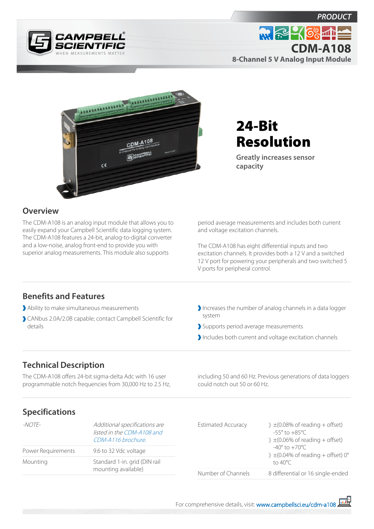

**8-Channel 5 V Analog Input Module**



# 24-Bit Resolution

**Greatly increases sensor capacity**

### **Overview**

The CDM-A108 is an analog input module that allows you to easily expand your Campbell Scientific data logging system. The CDM-A108 features a 24-bit, analog-to-digital converter and a low-noise, analog front-end to provide you with superior analog measurements. This module also supports

period average measurements and includes both current and voltage excitation channels.

The CDM-A108 has eight differential inputs and two excitation channels. It provides both a 12 V and a switched 12 V port for powering your peripherals and two switched 5 V ports for peripheral control.

## **Benefits and Features**

- Ability to make simultaneous measurements
- CANbus 2.0A/2.0B capable; contact Campbell Scientific for details
- Increases the number of analog channels in a data logger system
- Supports period average measurements
- Includes both current and voltage excitation channels

## **Technical Description**

The CDM-A108 offers 24-bit sigma-delta Adc with 16 user programmable notch frequencies from 30,000 Hz to 2.5 Hz, including 50 and 60 Hz. Previous generations of data loggers could notch out 50 or 60 Hz.

## **Specifications**

| -NOTE-             | Additional specifications are<br>listed in the CDM-A108 and<br>CDM-A116 brochure. | $\pm$ (0.08% of reading + offset)<br><b>Estimated Accuracy</b><br>$-55^{\circ}$ to $+85^{\circ}$ C<br>$\pm$ (0.06% of reading + offset)<br>$-40^{\circ}$ to $+70^{\circ}$ C<br>$\pm$ (0.04% of reading + offset) 0° |                                   |
|--------------------|-----------------------------------------------------------------------------------|---------------------------------------------------------------------------------------------------------------------------------------------------------------------------------------------------------------------|-----------------------------------|
| Power Requirements | 9.6 to 32 Vdc voltage                                                             |                                                                                                                                                                                                                     |                                   |
| Mounting           | Standard 1-in. grid (DIN rail<br>mounting available)                              |                                                                                                                                                                                                                     | to 40°C.                          |
|                    |                                                                                   | Number of Channels                                                                                                                                                                                                  | 8 differential or 16 single-ended |